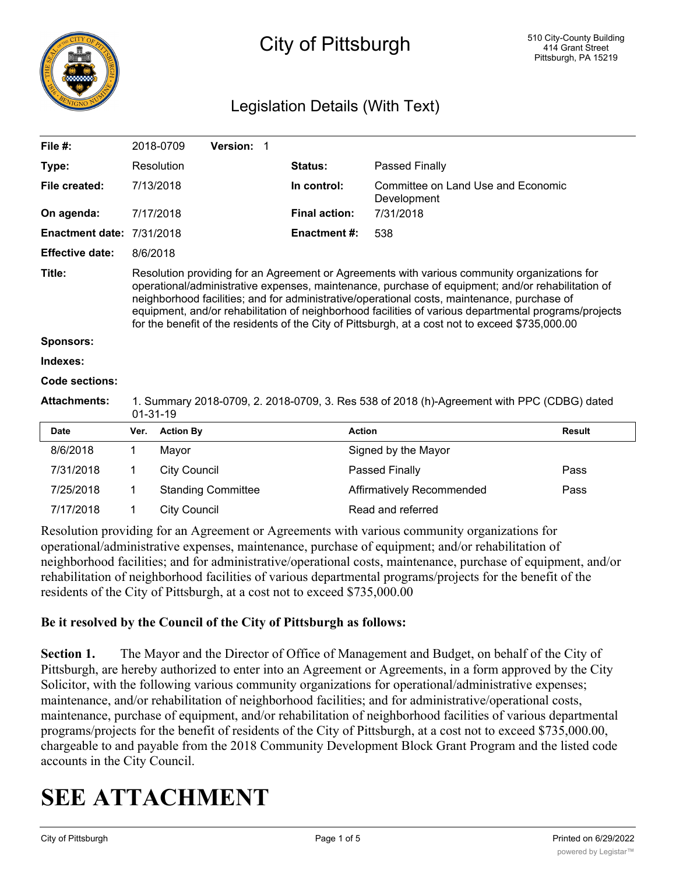

## City of Pittsburgh

### Legislation Details (With Text)

| File $#$ :             |                                                                                                                                                                                                                                                                                                                                                                                                                                                                                                               | 2018-0709           | Version: 1                |  |                      |                                                   |               |
|------------------------|---------------------------------------------------------------------------------------------------------------------------------------------------------------------------------------------------------------------------------------------------------------------------------------------------------------------------------------------------------------------------------------------------------------------------------------------------------------------------------------------------------------|---------------------|---------------------------|--|----------------------|---------------------------------------------------|---------------|
| Type:                  |                                                                                                                                                                                                                                                                                                                                                                                                                                                                                                               | Resolution          |                           |  | Status:              | Passed Finally                                    |               |
| File created:          |                                                                                                                                                                                                                                                                                                                                                                                                                                                                                                               | 7/13/2018           |                           |  | In control:          | Committee on Land Use and Economic<br>Development |               |
| On agenda:             |                                                                                                                                                                                                                                                                                                                                                                                                                                                                                                               | 7/17/2018           |                           |  | <b>Final action:</b> | 7/31/2018                                         |               |
| <b>Enactment date:</b> | 7/31/2018                                                                                                                                                                                                                                                                                                                                                                                                                                                                                                     |                     |                           |  | <b>Enactment#:</b>   | 538                                               |               |
| <b>Effective date:</b> | 8/6/2018                                                                                                                                                                                                                                                                                                                                                                                                                                                                                                      |                     |                           |  |                      |                                                   |               |
| Title:                 | Resolution providing for an Agreement or Agreements with various community organizations for<br>operational/administrative expenses, maintenance, purchase of equipment; and/or rehabilitation of<br>neighborhood facilities; and for administrative/operational costs, maintenance, purchase of<br>equipment, and/or rehabilitation of neighborhood facilities of various departmental programs/projects<br>for the benefit of the residents of the City of Pittsburgh, at a cost not to exceed \$735,000.00 |                     |                           |  |                      |                                                   |               |
| <b>Sponsors:</b>       |                                                                                                                                                                                                                                                                                                                                                                                                                                                                                                               |                     |                           |  |                      |                                                   |               |
| Indexes:               |                                                                                                                                                                                                                                                                                                                                                                                                                                                                                                               |                     |                           |  |                      |                                                   |               |
| <b>Code sections:</b>  |                                                                                                                                                                                                                                                                                                                                                                                                                                                                                                               |                     |                           |  |                      |                                                   |               |
| <b>Attachments:</b>    | 1. Summary 2018-0709, 2. 2018-0709, 3. Res 538 of 2018 (h)-Agreement with PPC (CDBG) dated<br>$01 - 31 - 19$                                                                                                                                                                                                                                                                                                                                                                                                  |                     |                           |  |                      |                                                   |               |
| <b>Date</b>            | Ver.                                                                                                                                                                                                                                                                                                                                                                                                                                                                                                          | <b>Action By</b>    |                           |  | <b>Action</b>        |                                                   | <b>Result</b> |
| 8/6/2018               | 1                                                                                                                                                                                                                                                                                                                                                                                                                                                                                                             | Mayor               |                           |  |                      | Signed by the Mayor                               |               |
| 7/31/2018              | 1                                                                                                                                                                                                                                                                                                                                                                                                                                                                                                             | <b>City Council</b> |                           |  |                      | Passed Finally                                    | Pass          |
| 7/25/2018              | 1                                                                                                                                                                                                                                                                                                                                                                                                                                                                                                             |                     | <b>Standing Committee</b> |  |                      | Affirmatively Recommended                         | Pass          |
| 7/17/2018              | 1                                                                                                                                                                                                                                                                                                                                                                                                                                                                                                             | <b>City Council</b> |                           |  |                      | Read and referred                                 |               |
|                        |                                                                                                                                                                                                                                                                                                                                                                                                                                                                                                               |                     |                           |  |                      |                                                   |               |

Resolution providing for an Agreement or Agreements with various community organizations for operational/administrative expenses, maintenance, purchase of equipment; and/or rehabilitation of neighborhood facilities; and for administrative/operational costs, maintenance, purchase of equipment, and/or rehabilitation of neighborhood facilities of various departmental programs/projects for the benefit of the residents of the City of Pittsburgh, at a cost not to exceed \$735,000.00

### **Be it resolved by the Council of the City of Pittsburgh as follows:**

**Section 1.** The Mayor and the Director of Office of Management and Budget, on behalf of the City of Pittsburgh, are hereby authorized to enter into an Agreement or Agreements, in a form approved by the City Solicitor, with the following various community organizations for operational/administrative expenses; maintenance, and/or rehabilitation of neighborhood facilities; and for administrative/operational costs, maintenance, purchase of equipment, and/or rehabilitation of neighborhood facilities of various departmental programs/projects for the benefit of residents of the City of Pittsburgh, at a cost not to exceed \$735,000.00, chargeable to and payable from the 2018 Community Development Block Grant Program and the listed code accounts in the City Council.

# **SEE ATTACHMENT**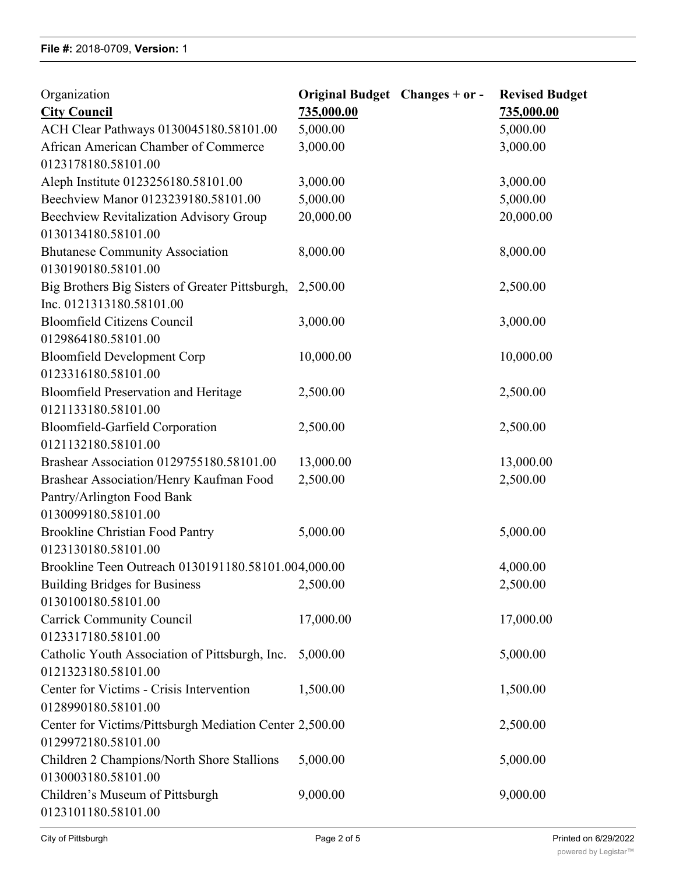| Organization<br><b>City Council</b>                     | Original Budget Changes + or -<br>735,000.00 | <b>Revised Budget</b><br>735,000.00 |
|---------------------------------------------------------|----------------------------------------------|-------------------------------------|
| ACH Clear Pathways 0130045180.58101.00                  | 5,000.00                                     | 5,000.00                            |
| African American Chamber of Commerce                    | 3,000.00                                     | 3,000.00                            |
| 0123178180.58101.00                                     |                                              |                                     |
| Aleph Institute 0123256180.58101.00                     | 3,000.00                                     | 3,000.00                            |
| Beechview Manor 0123239180.58101.00                     | 5,000.00                                     | 5,000.00                            |
| <b>Beechview Revitalization Advisory Group</b>          | 20,000.00                                    | 20,000.00                           |
| 0130134180.58101.00                                     |                                              |                                     |
| <b>Bhutanese Community Association</b>                  | 8,000.00                                     | 8,000.00                            |
| 0130190180.58101.00                                     |                                              |                                     |
| Big Brothers Big Sisters of Greater Pittsburgh,         | 2,500.00                                     | 2,500.00                            |
| Inc. 0121313180.58101.00                                |                                              |                                     |
| <b>Bloomfield Citizens Council</b>                      | 3,000.00                                     | 3,000.00                            |
| 0129864180.58101.00                                     |                                              |                                     |
| <b>Bloomfield Development Corp</b>                      | 10,000.00                                    | 10,000.00                           |
| 0123316180.58101.00                                     |                                              |                                     |
| <b>Bloomfield Preservation and Heritage</b>             | 2,500.00                                     | 2,500.00                            |
| 0121133180.58101.00                                     |                                              |                                     |
| Bloomfield-Garfield Corporation                         | 2,500.00                                     | 2,500.00                            |
| 0121132180.58101.00                                     |                                              |                                     |
| Brashear Association 0129755180.58101.00                | 13,000.00                                    | 13,000.00                           |
| Brashear Association/Henry Kaufman Food                 | 2,500.00                                     | 2,500.00                            |
| Pantry/Arlington Food Bank                              |                                              |                                     |
| 0130099180.58101.00                                     |                                              |                                     |
| <b>Brookline Christian Food Pantry</b>                  | 5,000.00                                     | 5,000.00                            |
| 0123130180.58101.00                                     |                                              |                                     |
| Brookline Teen Outreach 0130191180.58101.004,000.00     |                                              | 4,000.00                            |
| <b>Building Bridges for Business</b>                    | 2,500.00                                     | 2,500.00                            |
| 0130100180.58101.00                                     |                                              |                                     |
| <b>Carrick Community Council</b>                        | 17,000.00                                    | 17,000.00                           |
| 0123317180.58101.00                                     |                                              |                                     |
| Catholic Youth Association of Pittsburgh, Inc.          | 5,000.00                                     | 5,000.00                            |
| 0121323180.58101.00                                     |                                              |                                     |
| Center for Victims - Crisis Intervention                | 1,500.00                                     | 1,500.00                            |
| 0128990180.58101.00                                     |                                              |                                     |
| Center for Victims/Pittsburgh Mediation Center 2,500.00 |                                              | 2,500.00                            |
| 0129972180.58101.00                                     |                                              |                                     |
| Children 2 Champions/North Shore Stallions              | 5,000.00                                     | 5,000.00                            |
| 0130003180.58101.00                                     |                                              |                                     |
| Children's Museum of Pittsburgh                         | 9,000.00                                     | 9,000.00                            |
| 0123101180.58101.00                                     |                                              |                                     |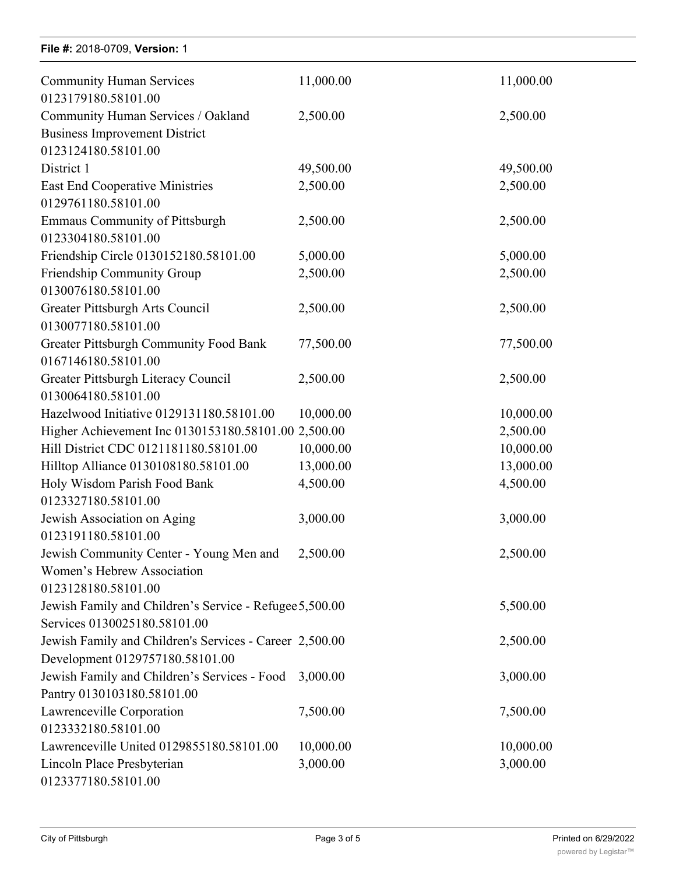| File #: 2018-0709, Version: 1                           |           |           |
|---------------------------------------------------------|-----------|-----------|
| <b>Community Human Services</b><br>0123179180.58101.00  | 11,000.00 | 11,000.00 |
| Community Human Services / Oakland                      | 2,500.00  | 2,500.00  |
| <b>Business Improvement District</b>                    |           |           |
| 0123124180.58101.00                                     |           |           |
| District 1                                              | 49,500.00 | 49,500.00 |
| <b>East End Cooperative Ministries</b>                  | 2,500.00  | 2,500.00  |
| 0129761180.58101.00                                     |           |           |
| <b>Emmaus Community of Pittsburgh</b>                   | 2,500.00  | 2,500.00  |
| 0123304180.58101.00                                     |           |           |
| Friendship Circle 0130152180.58101.00                   | 5,000.00  | 5,000.00  |
| Friendship Community Group                              | 2,500.00  | 2,500.00  |
| 0130076180.58101.00                                     |           |           |
| Greater Pittsburgh Arts Council                         | 2,500.00  | 2,500.00  |
| 0130077180.58101.00                                     |           |           |
| <b>Greater Pittsburgh Community Food Bank</b>           | 77,500.00 | 77,500.00 |
| 0167146180.58101.00                                     |           |           |
| Greater Pittsburgh Literacy Council                     | 2,500.00  | 2,500.00  |
| 0130064180.58101.00                                     |           |           |
| Hazelwood Initiative 0129131180.58101.00                | 10,000.00 | 10,000.00 |
| Higher Achievement Inc 0130153180.58101.00 2,500.00     |           | 2,500.00  |
| Hill District CDC 0121181180.58101.00                   | 10,000.00 | 10,000.00 |
| Hilltop Alliance 0130108180.58101.00                    | 13,000.00 | 13,000.00 |
| Holy Wisdom Parish Food Bank                            | 4,500.00  | 4,500.00  |
| 0123327180.58101.00                                     |           |           |
| Jewish Association on Aging                             | 3,000.00  | 3,000.00  |
| 0123191180.58101.00                                     |           |           |
| Jewish Community Center - Young Men and                 | 2,500.00  | 2,500.00  |
| Women's Hebrew Association                              |           |           |
| 0123128180.58101.00                                     |           |           |
| Jewish Family and Children's Service - Refugee 5,500.00 |           | 5,500.00  |
| Services 0130025180.58101.00                            |           |           |
| Jewish Family and Children's Services - Career 2,500.00 |           | 2,500.00  |
| Development 0129757180.58101.00                         |           |           |
| Jewish Family and Children's Services - Food            | 3,000.00  | 3,000.00  |
| Pantry 0130103180.58101.00                              |           |           |
| Lawrenceville Corporation                               | 7,500.00  | 7,500.00  |
| 0123332180.58101.00                                     |           |           |
| Lawrenceville United 0129855180.58101.00                | 10,000.00 | 10,000.00 |
| Lincoln Place Presbyterian                              | 3,000.00  | 3,000.00  |
| 0123377180.58101.00                                     |           |           |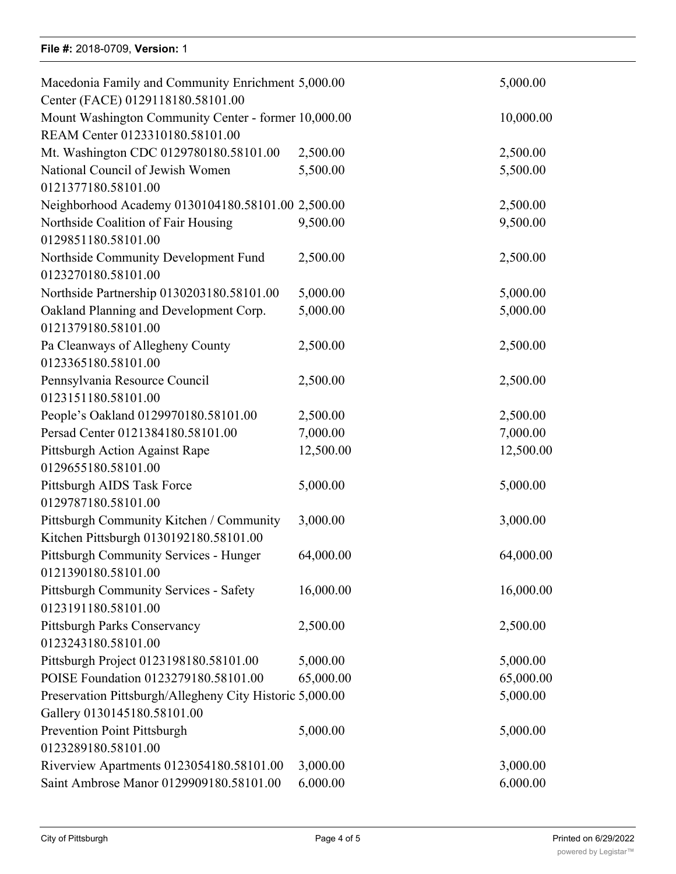### **File #: 2018-0709, Version: 1**

| Macedonia Family and Community Enrichment 5,000.00       |           | 5,000.00  |
|----------------------------------------------------------|-----------|-----------|
| Center (FACE) 0129118180.58101.00                        |           |           |
| Mount Washington Community Center - former 10,000.00     |           | 10,000.00 |
| REAM Center 0123310180.58101.00                          |           |           |
| Mt. Washington CDC 0129780180.58101.00                   | 2,500.00  | 2,500.00  |
| National Council of Jewish Women                         | 5,500.00  | 5,500.00  |
| 0121377180.58101.00                                      |           |           |
| Neighborhood Academy 0130104180.58101.00 2,500.00        |           | 2,500.00  |
| Northside Coalition of Fair Housing                      | 9,500.00  | 9,500.00  |
| 0129851180.58101.00                                      |           |           |
| Northside Community Development Fund                     | 2,500.00  | 2,500.00  |
| 0123270180.58101.00                                      |           |           |
| Northside Partnership 0130203180.58101.00                | 5,000.00  | 5,000.00  |
| Oakland Planning and Development Corp.                   | 5,000.00  | 5,000.00  |
| 0121379180.58101.00                                      |           |           |
| Pa Cleanways of Allegheny County                         | 2,500.00  | 2,500.00  |
| 0123365180.58101.00                                      |           |           |
| Pennsylvania Resource Council                            | 2,500.00  | 2,500.00  |
| 0123151180.58101.00                                      |           |           |
| People's Oakland 0129970180.58101.00                     | 2,500.00  | 2,500.00  |
| Persad Center 0121384180.58101.00                        | 7,000.00  | 7,000.00  |
| Pittsburgh Action Against Rape                           | 12,500.00 | 12,500.00 |
| 0129655180.58101.00                                      |           |           |
| Pittsburgh AIDS Task Force                               | 5,000.00  | 5,000.00  |
| 0129787180.58101.00                                      |           |           |
| Pittsburgh Community Kitchen / Community                 | 3,000.00  | 3,000.00  |
| Kitchen Pittsburgh 0130192180.58101.00                   |           |           |
| Pittsburgh Community Services - Hunger                   | 64,000.00 | 64,000.00 |
| 0121390180.58101.00                                      |           |           |
| <b>Pittsburgh Community Services - Safety</b>            | 16,000.00 | 16,000.00 |
| 0123191180.58101.00                                      |           |           |
| Pittsburgh Parks Conservancy                             | 2,500.00  | 2,500.00  |
| 0123243180.58101.00                                      |           |           |
| Pittsburgh Project 0123198180.58101.00                   | 5,000.00  | 5,000.00  |
| POISE Foundation 0123279180.58101.00                     | 65,000.00 | 65,000.00 |
| Preservation Pittsburgh/Allegheny City Historic 5,000.00 |           | 5,000.00  |
| Gallery 0130145180.58101.00                              |           |           |
| Prevention Point Pittsburgh                              | 5,000.00  | 5,000.00  |
| 0123289180.58101.00                                      |           |           |
| Riverview Apartments 0123054180.58101.00                 | 3,000.00  | 3,000.00  |
| Saint Ambrose Manor 0129909180.58101.00                  | 6.000.00  | 6.000.00  |
|                                                          |           |           |

Lawrenceville United 0129855180.58101.00 10,000.00 10,000.00